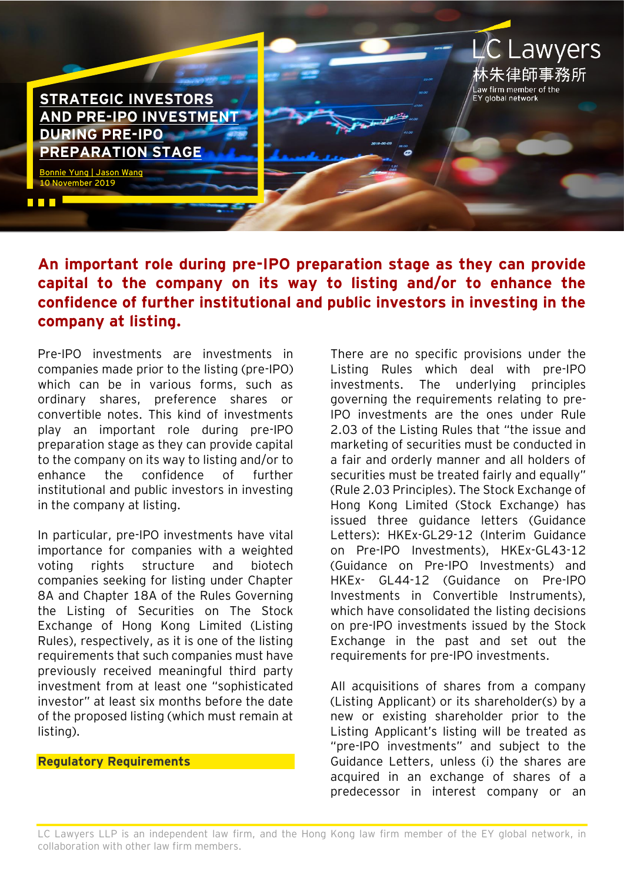**[STRATEGIC INVESTORS](https://www.eylaw.com.hk/en_hk/publications/know-how/hong-kong-ipo-and-corporate-finance/strategic-investors-and-pre-ipo-investment-during-pre-ipo-preparation-stage)  [AND PRE-IPO INVESTMENT](https://www.eylaw.com.hk/en_hk/publications/know-how/hong-kong-ipo-and-corporate-finance/strategic-investors-and-pre-ipo-investment-during-pre-ipo-preparation-stage)  [DURING PRE-IPO](https://www.eylaw.com.hk/en_hk/publications/know-how/hong-kong-ipo-and-corporate-finance/strategic-investors-and-pre-ipo-investment-during-pre-ipo-preparation-stage)  [PREPARATION STAGE](https://www.eylaw.com.hk/en_hk/publications/know-how/hong-kong-ipo-and-corporate-finance/strategic-investors-and-pre-ipo-investment-during-pre-ipo-preparation-stage)**

[Bonnie](https://www.eylaw.com.hk/en_hk/people/bonnie-yung) Yung [| Jason Wang](https://www.eylaw.com.hk/en_hk/people/jason-wang) 10 November 2019

n din I

**An important role during pre-IPO preparation stage as they can provide capital to the company on its way to listing and/or to enhance the confidence of further institutional and public investors in investing in the company at listing.**

Pre-IPO investments are investments in companies made prior to the listing (pre-IPO) which can be in various forms, such as ordinary shares, preference shares or convertible notes. This kind of investments play an important role during pre-IPO preparation stage as they can provide capital to the company on its way to listing and/or to enhance the confidence of further institutional and public investors in investing in the company at listing.

In particular, pre-IPO investments have vital importance for companies with a weighted voting rights structure and biotech companies seeking for listing under Chapter 8A and Chapter 18A of the Rules Governing the Listing of Securities on The Stock Exchange of Hong Kong Limited (Listing Rules), respectively, as it is one of the listing requirements that such companies must have previously received meaningful third party investment from at least one "sophisticated investor" at least six months before the date of the proposed listing (which must remain at listing).

# **Regulatory Requirements**

There are no specific provisions under the Listing Rules which deal with pre-IPO investments. The underlying principles governing the requirements relating to pre-IPO investments are the ones under Rule 2.03 of the Listing Rules that "the issue and marketing of securities must be conducted in a fair and orderly manner and all holders of securities must be treated fairly and equally" (Rule 2.03 Principles). The Stock Exchange of Hong Kong Limited (Stock Exchange) has issued three guidance letters (Guidance Letters): HKEx-GL29-12 (Interim Guidance on Pre-IPO Investments), HKEx-GL43-12 (Guidance on Pre-IPO Investments) and HKEx- GL44-12 (Guidance on Pre-IPO Investments in Convertible Instruments), which have consolidated the listing decisions on pre-IPO investments issued by the Stock Exchange in the past and set out the requirements for pre-IPO investments.

**Lawyers** 

Law firm member of the<br>EY global network

All acquisitions of shares from a company (Listing Applicant) or its shareholder(s) by a new or existing shareholder prior to the Listing Applicant's listing will be treated as "pre-IPO investments" and subject to the Guidance Letters, unless (i) the shares are acquired in an exchange of shares of a predecessor in interest company or an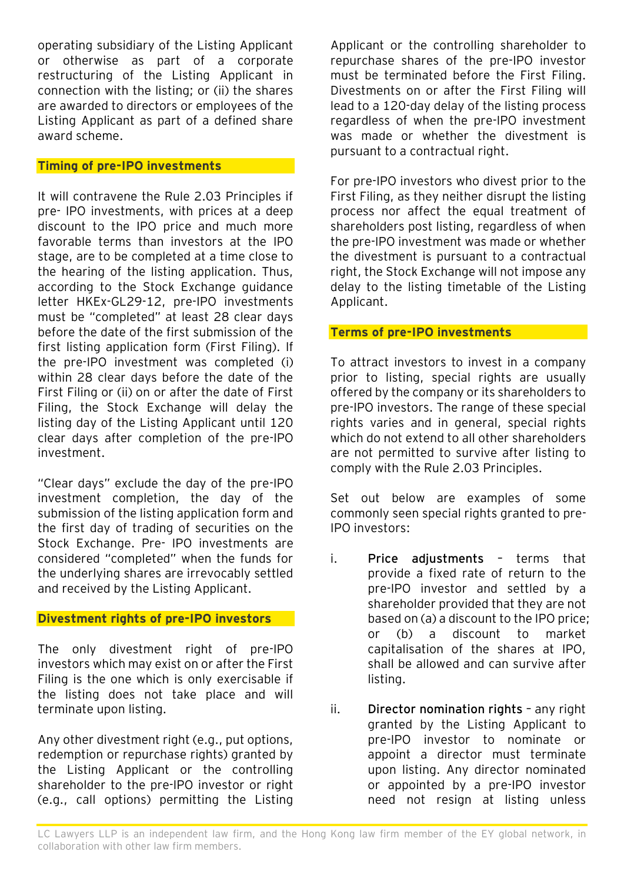operating subsidiary of the Listing Applicant or otherwise as part of a corporate restructuring of the Listing Applicant in connection with the listing; or (ii) the shares are awarded to directors or employees of the Listing Applicant as part of a defined share award scheme.

### **Timing of pre-IPO investments**

It will contravene the Rule 2.03 Principles if pre- IPO investments, with prices at a deep discount to the IPO price and much more favorable terms than investors at the IPO stage, are to be completed at a time close to the hearing of the listing application. Thus, according to the Stock Exchange guidance letter HKEx-GL29-12, pre-IPO investments must be "completed" at least 28 clear days before the date of the first submission of the first listing application form (First Filing). If the pre-IPO investment was completed (i) within 28 clear days before the date of the First Filing or (ii) on or after the date of First Filing, the Stock Exchange will delay the listing day of the Listing Applicant until 120 clear days after completion of the pre-IPO investment.

"Clear days" exclude the day of the pre-IPO investment completion, the day of the submission of the listing application form and the first day of trading of securities on the Stock Exchange. Pre- IPO investments are considered "completed" when the funds for the underlying shares are irrevocably settled and received by the Listing Applicant.

# **Divestment rights of pre-IPO investors**

The only divestment right of pre-IPO investors which may exist on or after the First Filing is the one which is only exercisable if the listing does not take place and will terminate upon listing.

Any other divestment right (e.g., put options, redemption or repurchase rights) granted by the Listing Applicant or the controlling shareholder to the pre-IPO investor or right (e.g., call options) permitting the Listing Applicant or the controlling shareholder to repurchase shares of the pre-IPO investor must be terminated before the First Filing. Divestments on or after the First Filing will lead to a 120-day delay of the listing process regardless of when the pre-IPO investment was made or whether the divestment is pursuant to a contractual right.

For pre-IPO investors who divest prior to the First Filing, as they neither disrupt the listing process nor affect the equal treatment of shareholders post listing, regardless of when the pre-IPO investment was made or whether the divestment is pursuant to a contractual right, the Stock Exchange will not impose any delay to the listing timetable of the Listing Applicant.

## **Terms of pre-IPO investments**

To attract investors to invest in a company prior to listing, special rights are usually offered by the company or its shareholders to pre-IPO investors. The range of these special rights varies and in general, special rights which do not extend to all other shareholders are not permitted to survive after listing to comply with the Rule 2.03 Principles.

Set out below are examples of some commonly seen special rights granted to pre-IPO investors:

- i. **Price adjustments** terms that provide a fixed rate of return to the pre-IPO investor and settled by a shareholder provided that they are not based on (a) a discount to the IPO price; or (b) a discount to market capitalisation of the shares at IPO, shall be allowed and can survive after listing.
- ii. **Director nomination rights** any right granted by the Listing Applicant to pre-IPO investor to nominate or appoint a director must terminate upon listing. Any director nominated or appointed by a pre-IPO investor need not resign at listing unless

LC Lawyers LLP is an independent law firm, and the Hong Kong law firm member of the EY global network, in collaboration with other law firm members.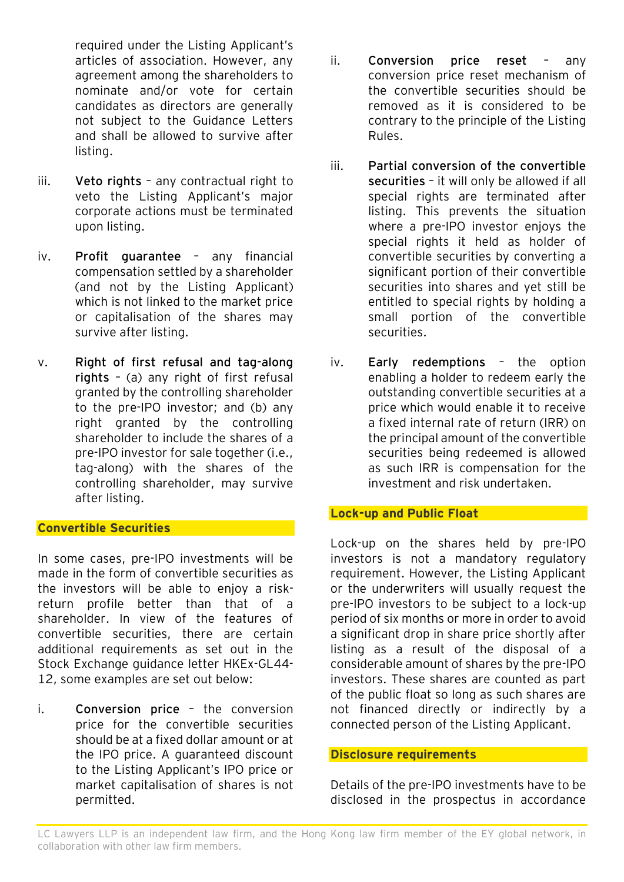required under the Listing Applicant's articles of association. However, any agreement among the shareholders to nominate and/or vote for certain candidates as directors are generally not subject to the Guidance Letters and shall be allowed to survive after listing.

- iii. **Veto rights** any contractual right to veto the Listing Applicant's major corporate actions must be terminated upon listing.
- iv. **Profit guarantee** any financial compensation settled by a shareholder (and not by the Listing Applicant) which is not linked to the market price or capitalisation of the shares may survive after listing.
- v. **Right of first refusal and tag-along rights** – (a) any right of first refusal granted by the controlling shareholder to the pre-IPO investor; and (b) any right granted by the controlling shareholder to include the shares of a pre-IPO investor for sale together (i.e., tag-along) with the shares of the controlling shareholder, may survive after listing.

### **Convertible Securities**

In some cases, pre-IPO investments will be made in the form of convertible securities as the investors will be able to enjoy a riskreturn profile better than that of a shareholder. In view of the features of convertible securities, there are certain additional requirements as set out in the Stock Exchange guidance letter HKEx-GL44- 12, some examples are set out below:

i. **Conversion price** – the conversion price for the convertible securities should be at a fixed dollar amount or at the IPO price. A guaranteed discount to the Listing Applicant's IPO price or market capitalisation of shares is not permitted.

- ii. **Conversion price reset** any conversion price reset mechanism of the convertible securities should be removed as it is considered to be contrary to the principle of the Listing Rules.
- iii. **Partial conversion of the convertible securities** – it will only be allowed if all special rights are terminated after listing. This prevents the situation where a pre-IPO investor enjoys the special rights it held as holder of convertible securities by converting a significant portion of their convertible securities into shares and yet still be entitled to special rights by holding a small portion of the convertible securities.
- iv. **Early redemptions** the option enabling a holder to redeem early the outstanding convertible securities at a price which would enable it to receive a fixed internal rate of return (IRR) on the principal amount of the convertible securities being redeemed is allowed as such IRR is compensation for the investment and risk undertaken.

#### **Lock-up and Public Float**

Lock-up on the shares held by pre-IPO investors is not a mandatory regulatory requirement. However, the Listing Applicant or the underwriters will usually request the pre-IPO investors to be subject to a lock-up period of six months or more in order to avoid a significant drop in share price shortly after listing as a result of the disposal of a considerable amount of shares by the pre-IPO investors. These shares are counted as part of the public float so long as such shares are not financed directly or indirectly by a connected person of the Listing Applicant.

#### **Disclosure requirements**

Details of the pre-IPO investments have to be disclosed in the prospectus in accordance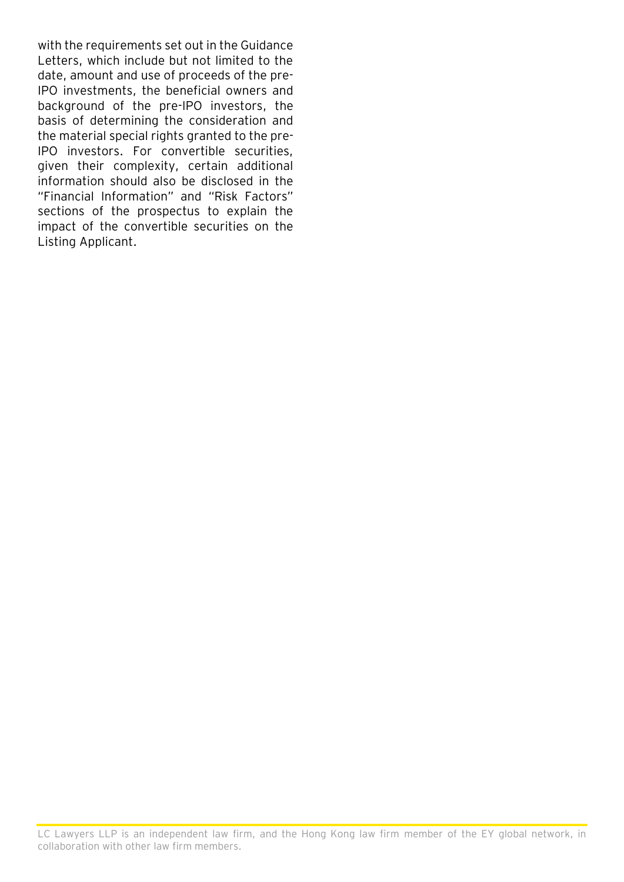with the requirements set out in the Guidance Letters, which include but not limited to the date, amount and use of proceeds of the pre-IPO investments, the beneficial owners and background of the pre-IPO investors, the basis of determining the consideration and the material special rights granted to the pre-IPO investors. For convertible securities, given their complexity, certain additional information should also be disclosed in the "Financial Information" and "Risk Factors" sections of the prospectus to explain the impact of the convertible securities on the Listing Applicant.